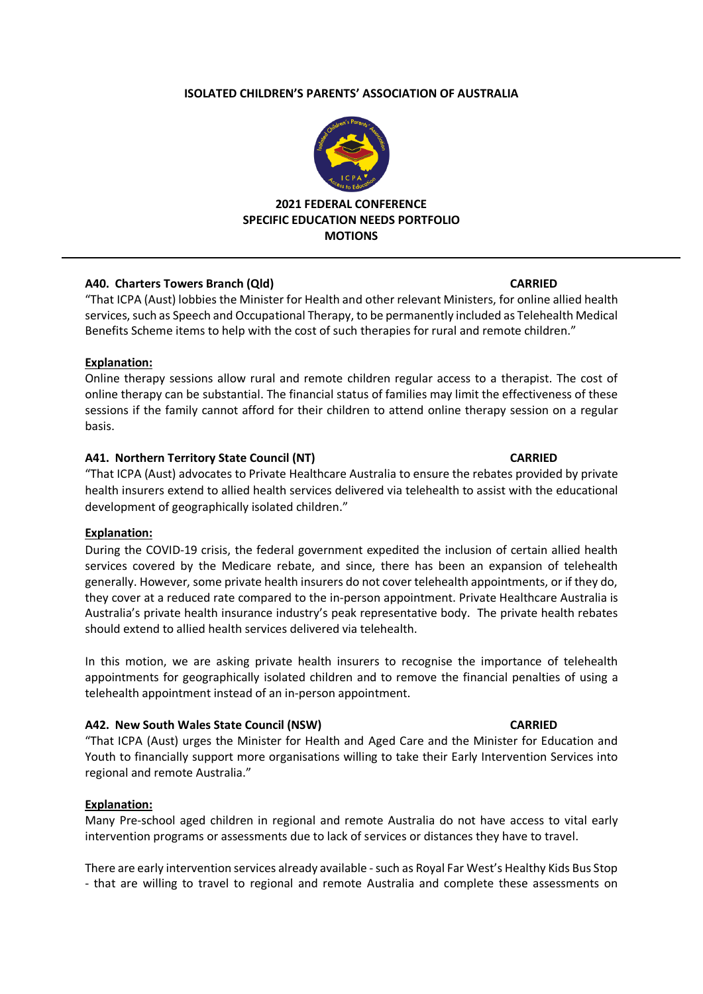### **ISOLATED CHILDREN'S PARENTS' ASSOCIATION OF AUSTRALIA**



### **2021 FEDERAL CONFERENCE SPECIFIC EDUCATION NEEDS PORTFOLIO MOTIONS**

### **A40. Charters Towers Branch (Qld) CARRIED**

"That ICPA (Aust) lobbies the Minister for Health and other relevant Ministers, for online allied health services, such as Speech and Occupational Therapy, to be permanently included as Telehealth Medical Benefits Scheme items to help with the cost of such therapies for rural and remote children."

## **Explanation:**

Online therapy sessions allow rural and remote children regular access to a therapist. The cost of online therapy can be substantial. The financial status of families may limit the effectiveness of these sessions if the family cannot afford for their children to attend online therapy session on a regular basis.

## **A41. Northern Territory State Council (NT) CARRIED**

"That ICPA (Aust) advocates to Private Healthcare Australia to ensure the rebates provided by private health insurers extend to allied health services delivered via telehealth to assist with the educational development of geographically isolated children."

### **Explanation:**

During the COVID-19 crisis, the federal government expedited the inclusion of certain allied health services covered by the Medicare rebate, and since, there has been an expansion of telehealth generally. However, some private health insurers do not cover telehealth appointments, or if they do, they cover at a reduced rate compared to the in-person appointment. Private Healthcare Australia is Australia's private health insurance industry's peak representative body. The private health rebates should extend to allied health services delivered via telehealth.

In this motion, we are asking private health insurers to recognise the importance of telehealth appointments for geographically isolated children and to remove the financial penalties of using a telehealth appointment instead of an in-person appointment.

# **A42. New South Wales State Council (NSW) CARRIED**

"That ICPA (Aust) urges the Minister for Health and Aged Care and the Minister for Education and Youth to financially support more organisations willing to take their Early Intervention Services into regional and remote Australia."

### **Explanation:**

Many Pre-school aged children in regional and remote Australia do not have access to vital early intervention programs or assessments due to lack of services or distances they have to travel.

There are early intervention services already available -such as Royal Far West's Healthy Kids Bus Stop - that are willing to travel to regional and remote Australia and complete these assessments on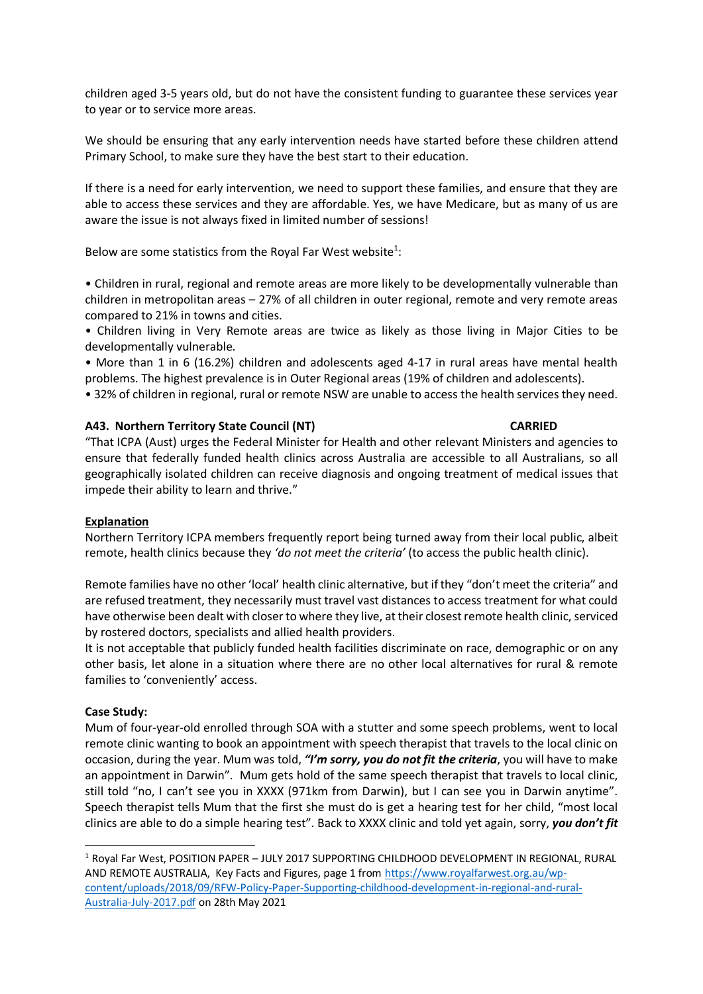children aged 3-5 years old, but do not have the consistent funding to guarantee these services year to year or to service more areas.

We should be ensuring that any early intervention needs have started before these children attend Primary School, to make sure they have the best start to their education.

If there is a need for early intervention, we need to support these families, and ensure that they are able to access these services and they are affordable. Yes, we have Medicare, but as many of us are aware the issue is not always fixed in limited number of sessions!

Below are some statistics from the Royal Far West website<sup>1</sup>:

• Children in rural, regional and remote areas are more likely to be developmentally vulnerable than children in metropolitan areas – 27% of all children in outer regional, remote and very remote areas compared to 21% in towns and cities.

• Children living in Very Remote areas are twice as likely as those living in Major Cities to be developmentally vulnerable.

• More than 1 in 6 (16.2%) children and adolescents aged 4-17 in rural areas have mental health problems. The highest prevalence is in Outer Regional areas (19% of children and adolescents).

• 32% of children in regional, rural or remote NSW are unable to access the health services they need.

### **A43. Northern Territory State Council (NT) CARRIED**

"That ICPA (Aust) urges the Federal Minister for Health and other relevant Ministers and agencies to ensure that federally funded health clinics across Australia are accessible to all Australians, so all geographically isolated children can receive diagnosis and ongoing treatment of medical issues that impede their ability to learn and thrive."

### **Explanation**

Northern Territory ICPA members frequently report being turned away from their local public, albeit remote, health clinics because they *'do not meet the criteria'* (to access the public health clinic).

Remote families have no other'local' health clinic alternative, but if they "don't meet the criteria" and are refused treatment, they necessarily must travel vast distances to access treatment for what could have otherwise been dealt with closer to where they live, at their closest remote health clinic, serviced by rostered doctors, specialists and allied health providers.

It is not acceptable that publicly funded health facilities discriminate on race, demographic or on any other basis, let alone in a situation where there are no other local alternatives for rural & remote families to 'conveniently' access.

# **Case Study:**

Mum of four-year-old enrolled through SOA with a stutter and some speech problems, went to local remote clinic wanting to book an appointment with speech therapist that travels to the local clinic on occasion, during the year. Mum was told, *"I'm sorry, you do not fit the criteria*, you will have to make an appointment in Darwin". Mum gets hold of the same speech therapist that travels to local clinic, still told "no, I can't see you in XXXX (971km from Darwin), but I can see you in Darwin anytime". Speech therapist tells Mum that the first she must do is get a hearing test for her child, "most local clinics are able to do a simple hearing test". Back to XXXX clinic and told yet again, sorry, *you don't fit*

<sup>1</sup> Royal Far West, POSITION PAPER – JULY 2017 SUPPORTING CHILDHOOD DEVELOPMENT IN REGIONAL, RURAL AND REMOTE AUSTRALIA, Key Facts and Figures, page 1 fro[m https://www.royalfarwest.org.au/wp](https://www.royalfarwest.org.au/wp-content/uploads/2018/09/RFW-Policy-Paper-Supporting-childhood-development-in-regional-and-rural-Australia-July-2017.pdf)[content/uploads/2018/09/RFW-Policy-Paper-Supporting-childhood-development-in-regional-and-rural-](https://www.royalfarwest.org.au/wp-content/uploads/2018/09/RFW-Policy-Paper-Supporting-childhood-development-in-regional-and-rural-Australia-July-2017.pdf)[Australia-July-2017.pdf](https://www.royalfarwest.org.au/wp-content/uploads/2018/09/RFW-Policy-Paper-Supporting-childhood-development-in-regional-and-rural-Australia-July-2017.pdf) on 28th May 2021